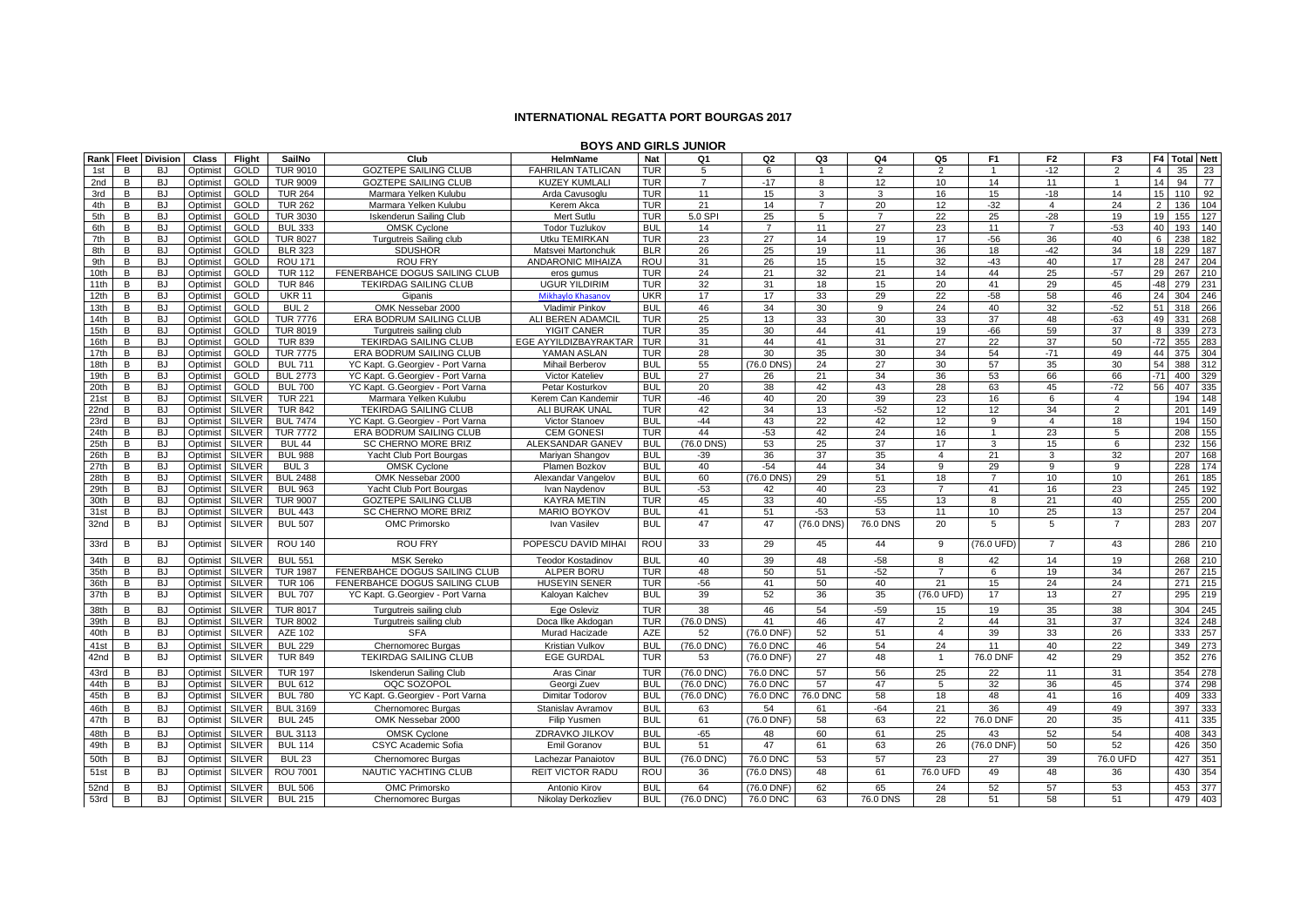## **INTERNATIONAL REGATTA PORT BOURGAS 2017**

|             | <b>BOYS AND GIRLS JUNIOR</b><br>Rank Fleet Division<br>F4 Total Nett |                        |                      |                            |                                  |                                                               |                                    |                   |                |                |                |                |                 |                  |                |                |                        |            |
|-------------|----------------------------------------------------------------------|------------------------|----------------------|----------------------------|----------------------------------|---------------------------------------------------------------|------------------------------------|-------------------|----------------|----------------|----------------|----------------|-----------------|------------------|----------------|----------------|------------------------|------------|
|             |                                                                      |                        | Class                | Flight                     | SailNo                           | Club                                                          | <b>HelmName</b>                    | Nat               | Q1             | Q2             | Q3             | Q4             | Q5              | F <sub>1</sub>   | F <sub>2</sub> | F <sub>3</sub> |                        |            |
| 1st         | В                                                                    | <b>BJ</b>              | Optimist             | <b>GOLD</b>                | <b>TUR 9010</b>                  | <b>GOZTEPE SAILING CLUB</b>                                   | <b>FAHRILAN TATLICAN</b>           | <b>TUR</b>        | 5              | 6              |                | $\overline{2}$ | $\overline{2}$  |                  | $-12$          | $\overline{2}$ | 35<br>$\overline{4}$   | 23         |
| 2nd         | B                                                                    | <b>BJ</b>              | Optimist             | <b>GOLD</b>                | <b>TUR 9009</b>                  | <b>GOZTEPE SAILING CLUB</b>                                   | <b>KUZEY KUMLALI</b>               | <b>TUR</b>        | $\overline{7}$ | $-17$          | 8              | 12             | 10 <sup>1</sup> | 14               | 11             | $\overline{1}$ | 14<br>94               | 77         |
| 3rd         | B                                                                    | <b>BJ</b>              | Optimist             | <b>GOLD</b>                | <b>TUR 264</b>                   | Marmara Yelken Kulubu                                         | Arda Cavusoglu                     | <b>TUR</b>        | 11             | 15             | 3              | 3              | 16              | 15 <sup>15</sup> | $-18$          | 14             | 15<br>110              | 92         |
| 4th         | В                                                                    | <b>BJ</b>              | Optimist             | <b>GOLD</b>                | <b>TUR 262</b>                   | Marmara Yelken Kulubu                                         | Kerem Akca                         | <b>TUR</b>        | 21             | 14             | $\overline{7}$ | 20             | 12              | $-32$            | $\overline{4}$ | 24             | 2<br>136               | 104        |
| 5th         | В                                                                    | <b>BJ</b>              | Optimist             | GOLD                       | <b>TUR 3030</b>                  | <b>Iskenderun Sailing Club</b>                                | Mert Sutlu                         | <b>TUR</b>        | 5.0 SPI        | 25             | 5              | $\overline{7}$ | 22              | 25               | $-28$          | 19             | 19<br>155              | 127        |
| 6th         | В                                                                    | <b>BJ</b>              | Optimist             | <b>GOLD</b>                | <b>BUL 333</b>                   | <b>OMSK Cyclone</b>                                           | <b>Todor Tuzlukov</b>              | <b>BUL</b>        | 14             | $\overline{7}$ | 11             | 27             | 23              | 11               | $\overline{7}$ | $-53$          | 40<br>193              | 140        |
| 7th         | В                                                                    | <b>BJ</b>              | Optimist             | GOLD                       | <b>TUR 8027</b>                  | Turgutreis Sailing club                                       | Utku TEMIRKAN                      | <b>TUR</b>        | 23             | 27             | 14             | 19             | 17              | $-56$            | 36             | 40             | 6<br>238               | 182        |
| 8th         | В                                                                    | <b>BJ</b>              | Optimist             | GOLD                       | <b>BLR 323</b>                   | <b>SDUSHOR</b>                                                | Matsvei Martonchuk                 | <b>BLR</b>        | 26             | 25             | 19             | 11             | 36              | 18               | $-42$          | 34             | 18<br>229              | 187        |
| 9th<br>10th | B<br>B                                                               | <b>BJ</b><br><b>BJ</b> | Optimist             | <b>GOLD</b><br><b>GOLD</b> | <b>ROU 171</b>                   | <b>ROU FRY</b>                                                | <b>ANDARONIC MIHAIZA</b>           | ROU<br><b>TUR</b> | 31<br>24       | 26<br>21       | 15<br>32       | 15<br>21       | 32<br>14        | $-43$<br>44      | 40<br>25       | 17<br>$-57$    | 28<br>247<br>29<br>267 | 204<br>210 |
| 11th        | B                                                                    | <b>BJ</b>              | Optimist<br>Optimist | GOLD                       | <b>TUR 112</b><br><b>TUR 846</b> | FENERBAHCE DOGUS SAILING CLUB<br><b>TEKIRDAG SAILING CLUB</b> | eros gumus<br><b>UGUR YILDIRIM</b> | <b>TUR</b>        | 32             | 31             | 18             | 15             | 20              | 41               | 29             | 45             | $-48$<br>279           | 231        |
| 12th        | В                                                                    | <b>BJ</b>              | Optimist             | GOLD                       | <b>UKR 11</b>                    | Gipanis                                                       | Mikhaylo Khasanov                  | <b>UKR</b>        | 17             | 17             | 33             | 29             | $\overline{22}$ | $-58$            | 58             | 46             | 24<br>304              | 246        |
| 13th        | В                                                                    | <b>BJ</b>              | Optimist             | <b>GOLD</b>                | BUL <sub>2</sub>                 | OMK Nessebar 2000                                             | Vladimir Pinkov                    | <b>BUL</b>        | 46             | 34             | 30             | 9              | 24              | 40               | 32             | $-52$          | 51<br>318              | 266        |
| 14th        | B                                                                    | <b>BJ</b>              | Optimist             | <b>GOLD</b>                | <b>TUR 7776</b>                  | ERA BODRUM SAILING CLUB                                       | ALI BEREN ADAMCII                  | <b>TUR</b>        | 25             | 13             | 33             | 30             | 33              | 37               | 48             | $-63$          | 49<br>331              | 268        |
| 15th        | B                                                                    | <b>BJ</b>              | Optimist             | <b>GOLD</b>                | <b>TUR 8019</b>                  | Turgutreis sailing club                                       | YIGIT CANER                        | <b>TUR</b>        | 35             | 30             | 44             | 41             | 19              | $-66$            | 59             | 37             | 8<br>339               | 273        |
| 16th        | В                                                                    | <b>BJ</b>              | Optimist             | GOLD                       | <b>TUR 839</b>                   | <b>TEKIRDAG SAILING CLUB</b>                                  | EGE AYYILDIZBAYRAKTAR              | <b>TUR</b>        | 31             | 44             | 41             | 31             | 27              | 22               | 37             | 50             | $-72$<br>355           | 283        |
| 17th        | В                                                                    | <b>BJ</b>              | Optimist             | <b>GOLD</b>                | <b>TUR 7775</b>                  | ERA BODRUM SAILING CLUB                                       | YAMAN ASLAN                        | <b>TUR</b>        | 28             | 30             | 35             | 30             | 34              | 54               | $-71$          | 49             | 44<br>375              | 304        |
| 18th        | В                                                                    | <b>BJ</b>              | Optimist             | GOLD                       | <b>BUL 711</b>                   | YC Kapt. G.Georgiev - Port Varna                              | Mihail Berberov                    | <b>BUL</b>        | 55             | (76.0 DNS      | 24             | 27             | 30              | 57               | 35             | 30             | 54<br>388              | 312        |
| 19th        | В                                                                    | <b>BJ</b>              | Optimist             | <b>GOLD</b>                | <b>BUL 2773</b>                  | YC Kapt, G.Georgiev - Port Varna                              | Victor Kateliev                    | <b>BUL</b>        | 27             | 26             | 21             | 34             | 36              | 53               | 66             | 66             | $-71$<br>400           | 329        |
| 20th        | В                                                                    | <b>BJ</b>              | Optimist             | GOLD                       | <b>BUL 700</b>                   | YC Kapt. G.Georgiev - Port Varna                              | Petar Kosturkov                    | <b>BUL</b>        | 20             | 38             | 42             | 43             | 28              | 63               | 45             | $-72$          | 56<br>407              | 335        |
| 21st        | В                                                                    | <b>BJ</b>              | Optimist             | <b>SILVER</b>              | <b>TUR 221</b>                   | Marmara Yelken Kulubu                                         | Kerem Can Kandemir                 | <b>TUR</b>        | $-46$          | 40             | 20             | 39             | 23              | 16               | 6              | $\overline{4}$ | 194                    | 148        |
| 22nd        | В                                                                    | <b>BJ</b>              | Optimist             | <b>SILVER</b>              | <b>TUR 842</b>                   | <b>TEKIRDAG SAILING CLUB</b>                                  | ALI BURAK UNAL                     | <b>TUR</b>        | 42             | 34             | 13             | $-52$          | 12              | 12 <sup>°</sup>  | 34             | $\overline{2}$ | 201                    | 149        |
| 23rd        | В                                                                    | <b>BJ</b>              | Optimist             | <b>SILVER</b>              | <b>BUL 7474</b>                  | YC Kapt. G.Georgiev - Port Varna                              | Victor Stanoev                     | <b>BUL</b>        | $-44$          | 43             | 22             | 42             | 12              | 9                | $\overline{4}$ | 18             | 194                    | 150        |
| 24th        | B                                                                    | <b>BJ</b>              | Optimist             | <b>SILVER</b>              | <b>TUR 7772</b>                  | ERA BODRUM SAILING CLUB                                       | <b>CEM GONES</b>                   | <b>TUR</b>        | 44             | $-53$          | 42             | 24             | 16              |                  | 23             | 5              | 208                    | 155        |
| 25th        | B                                                                    | <b>BJ</b>              | Optimist             | <b>SILVER</b>              | <b>BUL 44</b>                    | <b>SC CHERNO MORE BRIZ</b>                                    | ALEKSANDAR GANEV                   | <b>BUL</b>        | (76.0 DNS)     | 53             | 25             | 37             | 17              | 3                | 15             | 6              | 232                    | 156        |
| 26th        | B                                                                    | <b>BJ</b>              | Optimist             | <b>SILVER</b>              | <b>BUL 988</b>                   | Yacht Club Port Bourgas                                       | Mariyan Shangov                    | <b>BUL</b>        | $-39$          | 36             | 37             | 35             | $\overline{4}$  | 21               | 3              | 32             | 207                    | 168        |
| 27th        | B                                                                    | <b>BJ</b>              | Optimist             | <b>SILVER</b>              | BUL <sub>3</sub>                 | <b>OMSK Cyclone</b>                                           | Plamen Bozkov                      | <b>BUL</b>        | 40             | $-54$          | 44             | 34             | 9               | 29               | 9              | 9              | 228                    | 174        |
| 28th        | В                                                                    | <b>BJ</b>              | Optimist             | <b>SILVER</b>              | <b>BUL 2488</b>                  | OMK Nessebar 2000                                             | Alexandar Vangelov                 | <b>BUL</b>        | 60             | (76.0 DNS)     | 29             | 51             | 18              | $\overline{7}$   | 10             | 10             | 261                    | 185        |
| 29th        | B                                                                    | <b>BJ</b>              | Optimist             | <b>SILVER</b>              | <b>BUL 963</b>                   | Yacht Club Port Bourgas                                       | Ivan Naydenov                      | <b>BUL</b>        | $-53$          | 42             | 40             | 23             | $\overline{7}$  | 41               | 16             | 23             | 245                    | 192        |
| 30th        | B                                                                    | <b>BJ</b>              | Optimist             | <b>SILVER</b>              | <b>TUR 9007</b>                  | <b>GOZTEPE SAILING CLUB</b>                                   | <b>KAYRA METIN</b>                 | <b>TUR</b>        | 45             | 33             | 40             | $-55$          | 13              | 8                | 21             | 40             | 255                    | 200        |
| 31st        | В                                                                    | BJ                     | Optimist             | <b>SILVER</b>              | <b>BUL 443</b>                   | SC CHERNO MORE BRIZ                                           | <b>MARIO BOYKOV</b>                | <b>BUL</b>        | 41             | 51             | $-53$          | 53             | 11              | 10               | 25             | 13             | 257                    | 204        |
| 32nd        | В                                                                    | <b>BJ</b>              | Optimist             | <b>SILVER</b>              | <b>BUL 507</b>                   | OMC Primorsko                                                 | Ivan Vasilev                       | <b>BUL</b>        | 47             | 47             | (76.0 DNS)     | 76.0 DNS       | 20              | $5^{\circ}$      | 5              | $\overline{7}$ | 283                    | 207        |
| 33rd        | В                                                                    | <b>BJ</b>              | Optimist             | <b>SILVER</b>              | <b>ROU 140</b>                   | <b>ROU FRY</b>                                                | POPESCU DAVID MIHAI                | ROU               | 33             | 29             | 45             | 44             | 9               | (76.0 UFD)       | $\overline{7}$ | 43             | 286                    | 210        |
| 34th        | B                                                                    | <b>BJ</b>              | Optimist             | <b>SILVER</b>              | <b>BUL 551</b>                   | <b>MSK Sereko</b>                                             | <b>Teodor Kostadinov</b>           | <b>BUL</b>        | 40             | 39             | 48             | $-58$          | 8               | 42               | 14             | 19             | 268                    | 210        |
| 35th        | В                                                                    | <b>BJ</b>              | Optimist             | <b>SILVER</b>              | <b>TUR 1987</b>                  | FENERBAHCE DOGUS SAILING CLUB                                 | ALPER BORU                         | <b>TUR</b>        | 48             | 50             | 51             | $-52$          | $\overline{7}$  | 6                | 19             | 34             | 267                    | 215        |
| 36th        | B                                                                    | <b>BJ</b>              | Optimist             | <b>SILVER</b>              | <b>TUR 106</b>                   | FENERBAHCE DOGUS SAILING CLUB                                 | <b>HUSEYIN SENER</b>               | <b>TUR</b>        | $-56$          | 41             | 50             | 40             | 21              | 15               | 24             | 24             | 271                    | 215        |
| 37th        | В                                                                    | <b>BJ</b>              | Optimist             | <b>SILVER</b>              | <b>BUL 707</b>                   | YC Kapt. G.Georgiev - Port Varna                              | Kaloyan Kalchev                    | <b>BUL</b>        | 39             | 52             | 36             | 35             | (76.0 UFD)      | 17               | 13             | 27             | 295                    | 219        |
| 38th        | B                                                                    | <b>BJ</b>              | Optimist             | <b>SILVER</b>              | <b>TUR 8017</b>                  | Turgutreis sailing club                                       | Ege Osleviz                        | <b>TUR</b>        | 38             | 46             | 54             | $-59$          | 15              | 19               | 35             | 38             | 304                    | 245        |
| 39th        | В                                                                    | <b>BJ</b>              | Optimist             | <b>SILVER</b>              | <b>TUR 8002</b>                  | Turgutreis sailing club                                       | Doca Ilke Akdogan                  | <b>TUR</b>        | (76.0 DNS)     | 41             | 46             | 47             | 2               | 44               | 31             | 37             | 324                    | 248        |
| 40th        | В                                                                    | <b>BJ</b>              | Optimist             | <b>SILVER</b>              | AZE 102                          | <b>SFA</b>                                                    | Murad Hacizade                     | AZE               | 52             | (76.0 DNF      | 52             | 51             | $\overline{4}$  | 39               | 33             | 26             | 333                    | 257        |
| 41st        | B                                                                    | <b>BJ</b>              | Optimist             | <b>SILVER</b>              | <b>BUL 229</b>                   | Chernomorec Burgas                                            | Kristian Vulkov                    | <b>BUL</b>        | (76.0 DNC)     | 76.0 DNC       | 46             | 54             | 24              | 11               | 40             | 22             | 349                    | 273        |
| 42nd        | В                                                                    | <b>BJ</b>              | Optimist             | <b>SILVER</b>              | <b>TUR 849</b>                   | <b>TEKIRDAG SAILING CLUB</b>                                  | <b>EGE GURDAL</b>                  | <b>TUR</b>        | 53             | $(76.0$ DNF)   | 27             | 48             | $\mathbf{1}$    | 76.0 DNF         | 42             | 29             | 352                    | 276        |
| 43rd        | B                                                                    | <b>BJ</b>              | Optimist             | <b>SILVER</b>              | <b>TUR 197</b>                   | Iskenderun Sailing Club                                       | Aras Cinar                         | <b>TUR</b>        | (76.0 DNC)     | 76.0 DNC       | 57             | 56             | 25              | 22               | 11             | 31             | 354                    | 278        |
| 44th        | В                                                                    | <b>BJ</b>              | Optimist             | <b>SILVER</b>              | <b>BUL 612</b>                   | OOC SOZOPOL                                                   | Georgi Zuev                        | <b>BUL</b>        | (76.0 DNC)     | 76.0 DNC       | 57             | 47             | 5               | 32               | 36             | 45             | 374                    | 298        |
| 45th        | В                                                                    | <b>BJ</b>              | Optimist             | <b>SILVER</b>              | <b>BUL 780</b>                   | YC Kapt. G.Georgiev - Port Varna                              | Dimitar Todorov                    | <b>BUL</b>        | (76.0 DNC)     | 76.0 DNC       | 76.0 DNC       | 58             | 18              | 48               | 41             | 16             | 409                    | 333        |
| 46th        | B                                                                    | <b>BJ</b>              | Optimist             | <b>SILVER</b>              | <b>BUL 3169</b>                  | Chernomorec Burgas                                            | Stanislav Avramov                  | <b>BUL</b>        | 63             | 54             | 61             | $-64$          | 21              | 36               | 49             | 49             | 397                    | 333        |
| 47th        | B                                                                    | <b>BJ</b>              | Optimist             | <b>SILVER</b>              | <b>BUL 245</b>                   | OMK Nessebar 2000                                             | Filip Yusmen                       | <b>BUL</b>        | 61             | (76.0 DNF)     | 58             | 63             | 22              | 76.0 DNF         | 20             | 35             | 411                    | 335        |
| 48th        | В                                                                    | <b>BJ</b>              | Optimist             | <b>SILVER</b>              | <b>BUL 3113</b>                  | <b>OMSK Cyclone</b>                                           | ZDRAVKO JILKOV                     | <b>BUL</b>        | $-65$          | 48             | 60             | 61             | 25              | 43               | 52             | 54             | 408                    | 343        |
| 49th        | В                                                                    | <b>BJ</b>              | Optimist             | <b>SILVER</b>              | <b>BUL 114</b>                   | CSYC Academic Sofia                                           | Emil Goranov                       | <b>BUL</b>        | 51             | 47             | 61             | 63             | 26              | (76.0 DNF)       | 50             | 52             | 426                    | 350        |
| 50th        | В                                                                    | <b>BJ</b>              | Optimist             | <b>SILVER</b>              | <b>BUL 23</b>                    | Chernomorec Burgas                                            | Lachezar Panaiotov                 | <b>BUL</b>        | (76.0 DNC)     | 76.0 DNC       | 53             | 57             | 23              | 27               | 39             | 76.0 UFD       | 427                    | 351        |
| 51st        | В                                                                    | <b>BJ</b>              | Optimist             | <b>SILVER</b>              | <b>ROU 7001</b>                  | NAUTIC YACHTING CLUB                                          | <b>REIT VICTOR RADU</b>            | ROU               | 36             | (76.0 DNS)     | 48             | 61             | 76.0 UFD        | 49               | 48             | 36             | 430                    | 354        |
| 52nd        | В                                                                    | <b>BJ</b>              | Optimist             | <b>SILVER</b>              | <b>BUL 506</b>                   | <b>OMC Primorsko</b>                                          | Antonio Kirov                      | <b>BUL</b>        | 64             | (76.0 DNF)     | 62             | 65             | 24              | 52               | 57             | 53             | 453                    | 377        |
| 53rd        | В                                                                    | <b>BJ</b>              | Optimist             | <b>SILVER</b>              | <b>BUL 215</b>                   | <b>Chernomorec Burgas</b>                                     | Nikolay Derkozliev                 | <b>BUL</b>        | (76.0 DNC)     | 76.0 DNC       | 63             | 76.0 DNS       | 28              | 51               | 58             | 51             | 479                    | 403        |